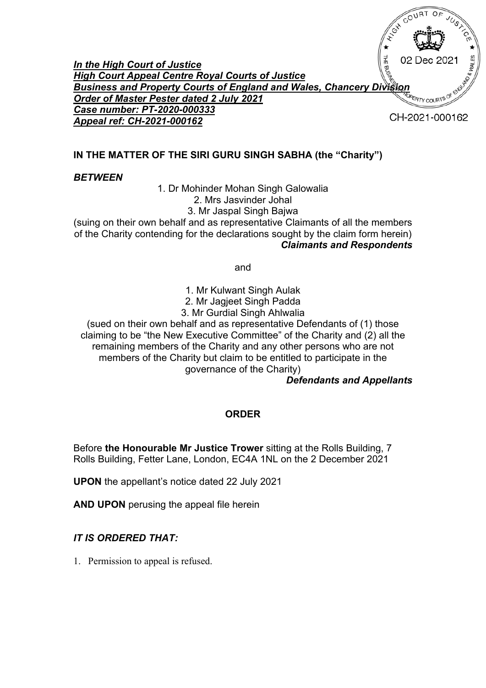**THE BUSHAR** 02 Dec 2021 *In the High Court of Justice High Court Appeal Centre Royal Courts of Justice Business and Property Courts of England and Wales, Chancery Division Order of Master Pester dated 2 July 2021* **ERTY COURT** *Case number: PT-2020-000333* CH-2021-000162 *Appeal ref: CH-2021-000162*

# **IN THE MATTER OF THE SIRI GURU SINGH SABHA (the "Charity")**

### *BETWEEN*

1. Dr Mohinder Mohan Singh Galowalia 2. Mrs Jasvinder Johal 3. Mr Jaspal Singh Bajwa

(suing on their own behalf and as representative Claimants of all the members of the Charity contending for the declarations sought by the claim form herein) *Claimants and Respondents*

and

- 1. Mr Kulwant Singh Aulak
- 2. Mr Jagjeet Singh Padda
- 3. Mr Gurdial Singh Ahlwalia

(sued on their own behalf and as representative Defendants of (1) those claiming to be "the New Executive Committee" of the Charity and (2) all the remaining members of the Charity and any other persons who are not members of the Charity but claim to be entitled to participate in the governance of the Charity)

### *Defendants and Appellants*

## **ORDER**

Before **the Honourable Mr Justice Trower** sitting at the Rolls Building, 7 Rolls Building, Fetter Lane, London, EC4A 1NL on the 2 December 2021

**UPON** the appellant's notice dated 22 July 2021

**AND UPON** perusing the appeal file herein

## *IT IS ORDERED THAT:*

1. Permission to appeal is refused.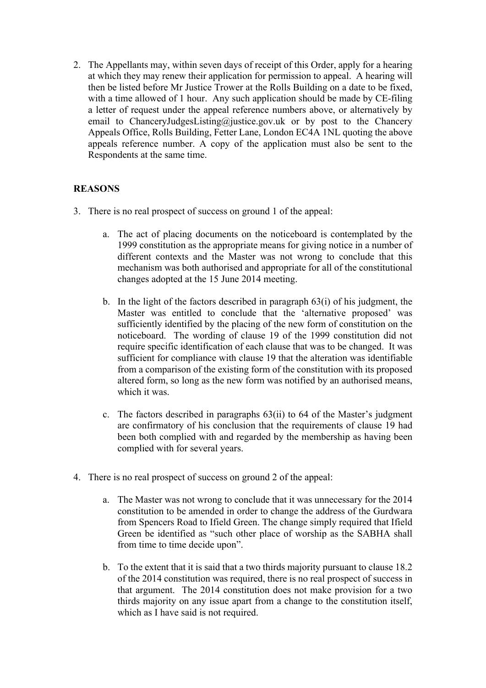2. The Appellants may, within seven days of receipt of this Order, apply for a hearing at which they may renew their application for permission to appeal. A hearing will then be listed before Mr Justice Trower at the Rolls Building on a date to be fixed, with a time allowed of 1 hour. Any such application should be made by CE-filing a letter of request under the appeal reference numbers above, or alternatively by email to ChanceryJudgesListing@justice.gov.uk or by post to the Chancery Appeals Office, Rolls Building, Fetter Lane, London EC4A 1NL quoting the above appeals reference number. A copy of the application must also be sent to the Respondents at the same time.

### **REASONS**

- 3. There is no real prospect of success on ground 1 of the appeal:
	- a. The act of placing documents on the noticeboard is contemplated by the 1999 constitution as the appropriate means for giving notice in a number of different contexts and the Master was not wrong to conclude that this mechanism was both authorised and appropriate for all of the constitutional changes adopted at the 15 June 2014 meeting.
	- b. In the light of the factors described in paragraph 63(i) of his judgment, the Master was entitled to conclude that the 'alternative proposed' was sufficiently identified by the placing of the new form of constitution on the noticeboard. The wording of clause 19 of the 1999 constitution did not require specific identification of each clause that was to be changed. It was sufficient for compliance with clause 19 that the alteration was identifiable from a comparison of the existing form of the constitution with its proposed altered form, so long as the new form was notified by an authorised means, which it was.
	- c. The factors described in paragraphs 63(ii) to 64 of the Master's judgment are confirmatory of his conclusion that the requirements of clause 19 had been both complied with and regarded by the membership as having been complied with for several years.
- 4. There is no real prospect of success on ground 2 of the appeal:
	- a. The Master was not wrong to conclude that it was unnecessary for the 2014 constitution to be amended in order to change the address of the Gurdwara from Spencers Road to Ifield Green. The change simply required that Ifield Green be identified as "such other place of worship as the SABHA shall from time to time decide upon".
	- b. To the extent that it is said that a two thirds majority pursuant to clause 18.2 of the 2014 constitution was required, there is no real prospect of success in that argument. The 2014 constitution does not make provision for a two thirds majority on any issue apart from a change to the constitution itself, which as I have said is not required.